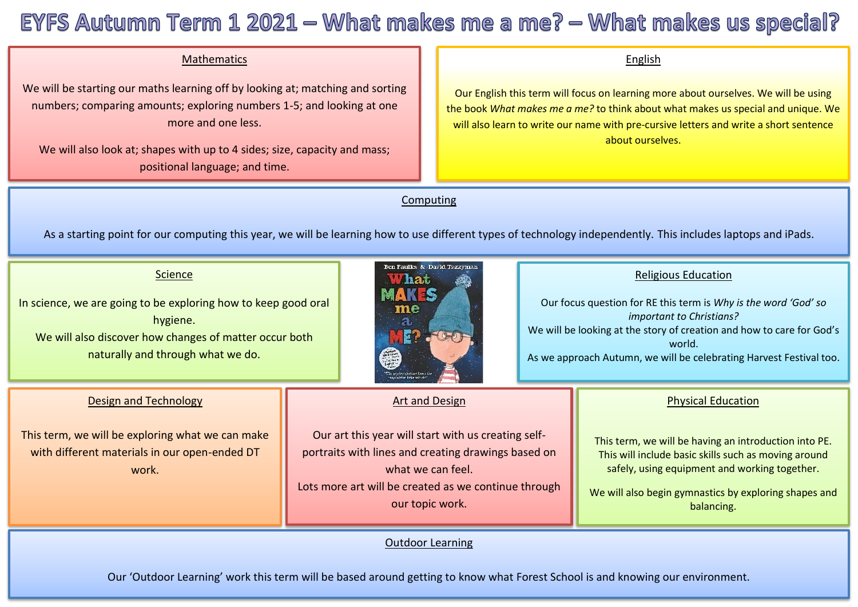# EYFS Autumn Term 1 2021 - What makes me a me? - What makes us special?

# Mathematics

 We will be starting our maths learning off by looking at; matching and sorting numbers; comparing amounts; exploring numbers 1-5; and looking at one more and one less.

We will also look at; shapes with up to 4 sides; size, capacity and mass; positional language; and time.

#### English

Our English this term will focus on learning more about ourselves. We will be using the book *What makes me a me?* to think about what makes us special and unique. We will also learn to write our name with pre-cursive letters and write a short sentence about ourselves.

### Computing

As a starting point for our computing this year, we will be learning how to use different types of technology independently. This includes laptops and iPads.

#### **Science**

In science, we are going to be exploring how to keep good oral hygiene. We will also discover how changes of matter occur both

naturally and through what we do.



# Art and Design

Our art this year will start with us creating selfportraits with lines and creating drawings based on what we can feel. Lots more art will be created as we continue through our topic work.

#### Outdoor Learning

# Religious Education

Our focus question for RE this term is *Why is the word 'God' so important to Christians?* We will be looking at the story of creation and how to care for God's world. As we approach Autumn, we will be celebrating Harvest Festival too.

#### Physical Education

This term, we will be having an introduction into PE. This will include basic skills such as moving around safely, using equipment and working together.

We will also begin gymnastics by exploring shapes and balancing.

Our 'Outdoor Learning' work this term will be based around getting to know what Forest School is and knowing our environment.

# Design and Technology

This term, we will be exploring what we can make with different materials in our open-ended DT work.